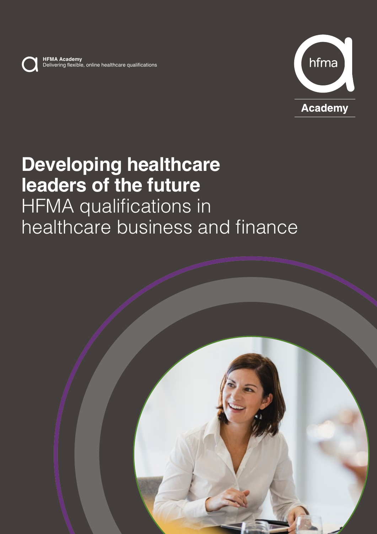

**HFMA Academy** Delivering flexible, online healthcare qualifications



# **Developing healthcare leaders of the future HFMA** qualifications in healthcare business and finance

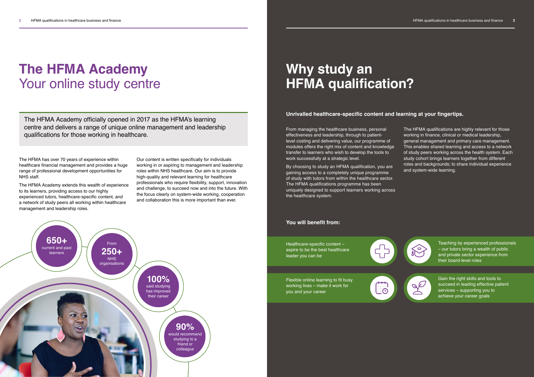The HFMA has over 70 years of experience within healthcare financial management and provides a huge range of professional development opportunities for NHS staff.

The HFMA Academy extends this wealth of experience to its learners, providing access to our highly experienced tutors, healthcare-specific content, and a network of study peers all working within healthcare management and leadership roles.

# **The HFMA Academy** Your online study centre

Our content is written specifically for individuals working in or aspiring to management and leadership roles within NHS healthcare. Our aim is to provide high-quality and relevant learning for healthcare professionals who require flexibility, support, innovation and challenge, to succeed now and into the future. With the focus clearly on system-wide working, cooperation and collaboration this is more important than ever.



# **Why study an HFMA qualification?**

The HFMA Academy officially opened in 2017 as the HFMA's learning centre and delivers a range of unique online management and leadership qualifications for those working in healthcare.

From managing the healthcare business, personal effectiveness and leadership, through to patientlevel costing and delivering value, our programme of modules offers the right mix of content and knowledge transfer to learners who wish to develop the tools to work successfully at a strategic level.

By choosing to study an HFMA qualification, you are gaining access to a completely unique programme of study with tutors from within the healthcare sector. The HFMA qualifications programme has been uniquely designed to support learners working across the healthcare system.

The HFMA qualifications are highly relevant for those working in finance, clinical or medical leadership, general management and primary care management. This enables shared learning and access to a network of study peers working across the health system. Each study cohort brings learners together from different roles and backgrounds; to share individual experience and system-wide learning.



Healthcare-specific content – aspire to be the best healthcare leader you can be



ں<del>....</del><br>⊙∷

Flexible online learning to fit busy working lives – make it work for you and your career

Teaching by experienced professionals – our tutors bring a wealth of public and private sector experience from their board-level roles



Gain the right skills and tools to succeed in leading effective patient services – supporting you to achieve your career goals

### **You will benefit from:**

### **Unrivalled healthcare-specific content and learning at your fingertips.**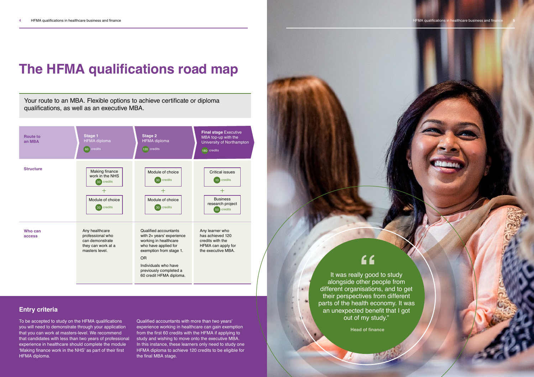# **The HFMA qualifications road map**



# **Entry criteria**

To be accepted to study on the HFMA qualifications you will need to demonstrate through your application that you can work at masters-level. We recommend that candidates with less than two years of professional experience in healthcare should complete the module 'Making finance work in the NHS' as part of their first HFMA diploma.

Qualified accountants with more than two years' experience working in healthcare can gain exemption from the first 60 credits with the HFMA if applying to study and wishing to move onto the executive MBA. In this instance, these learners only need to study one HFMA diploma to achieve 120 credits to be eligible for the final MBA stage.

Your route to an MBA. Flexible options to achieve certificate or diploma qualifications, as well as an executive MBA.

> different organisations, and to get their perspectives from different parts of the health economy. It was an unexpected benefit that I got out of my study."



**Head of finance**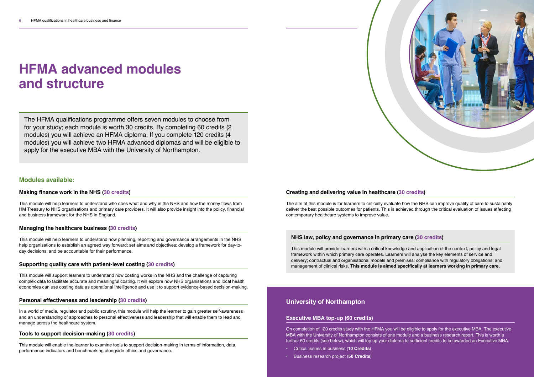# **HFMA advanced modules and structure**

## **Modules available:**

### **Making finance work in the NHS (30 credits)**

This module will help learners to understand who does what and why in the NHS and how the money flows from HM Treasury to NHS organisations and primary care providers. It will also provide insight into the policy, financial and business framework for the NHS in England.

### **Managing the healthcare business (30 credits)**

This module will help learners to understand how planning, reporting and governance arrangements in the NHS help organisations to establish an agreed way forward; set aims and objectives; develop a framework for day-today decisions; and be accountable for their performance.

### **Supporting quality care with patient-level costing (30 credits)**

This module will support learners to understand how costing works in the NHS and the challenge of capturing complex data to facilitate accurate and meaningful costing. It will explore how NHS organisations and local health economies can use costing data as operational intelligence and use it to support evidence-based decision-making.

### **Personal effectiveness and leadership (30 credits)**

In a world of media, regulator and public scrutiny, this module will help the learner to gain greater self-awareness and an understanding of approaches to personal effectiveness and leadership that will enable them to lead and manage across the healthcare system.

### **Tools to support decision-making (30 credits)**

This module will enable the learner to examine tools to support decision-making in terms of information, data, performance indicators and benchmarking alongside ethics and governance.

# **Creating and delivering value in healthcare (30 credits)**

The aim of this module is for learners to critically evaluate how the NHS can improve quality of care to sustainably deliver the best possible outcomes for patients. This is achieved through the critical evaluation of issues affecting contemporary healthcare systems to improve value.

The HFMA qualifications programme offers seven modules to choose from for your study; each module is worth 30 credits. By completing 60 credits (2 modules) you will achieve an HFMA diploma. If you complete 120 credits (4 modules) you will achieve two HFMA advanced diplomas and will be eligible to apply for the executive MBA with the University of Northampton.

### **Executive MBA top-up (60 credits)**

On completion of 120 credits study with the HFMA you will be eligible to apply for the executive MBA. The executive MBA with the University of Northampton consists of one module and a business research report. This is worth a further 60 credits (see below), which will top up your diploma to sufficient credits to be awarded an Executive MBA.

- **•** Critical issues in business (**10 Credits**)
- **•** Business research project (**50 Credits**)



### **University of Northampton**

# **NHS law, policy and governance in primary care (30 credits)**

This module will provide learners with a critical knowledge and application of the context, policy and legal framework within which primary care operates. Learners will analyse the key elements of service and delivery; contractual and organisational models and premises; compliance with regulatory obligations; and management of clinical risks. **This module is aimed specifically at learners working in primary care.**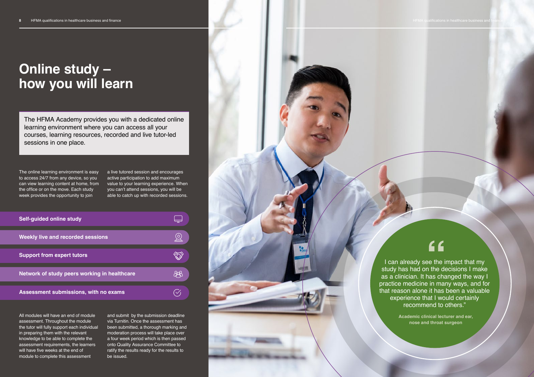The online learning environment is easy to access 24/7 from any device, so you can view learning content at home, from the office or on the move. Each study week provides the opportunity to join

a live tutored session and encourages active participation to add maximum value to your learning experience. When you can't attend sessions, you will be able to catch up with recorded sessions.

All modules will have an end of module assessment. Throughout the module the tutor will fully support each individual in preparing them with the relevant knowledge to be able to complete the assessment requirements, the learners will have five weeks at the end of module to complete this assessment

# **Online study – how you will learn**

The HFMA Academy provides you with a dedicated online learning environment where you can access all your courses, learning resources, recorded and live tutor-led sessions in one place.

> I can already see the impact that my study has had on the decisions I make as a clinician. It has changed the way I practice medicine in many ways, and for that reason alone it has been a valuable experience that I would certainly recommend to others."

> > **Academic clinical lecturer and ear, nose and throat surgeon**

| <b>Self-guided online study</b>              |  |
|----------------------------------------------|--|
| <b>Weekly live and recorded sessions</b>     |  |
| <b>Support from expert tutors</b>            |  |
| Network of study peers working in healthcare |  |
| Assessment submissions, with no exams        |  |

and submit by the submission deadline via Turnitin. Once the assessment has been submitted, a thorough marking and moderation process will take place over a four week period which is then passed onto Quality Assurance Committee to ratify the results ready for the results to be issued.

# "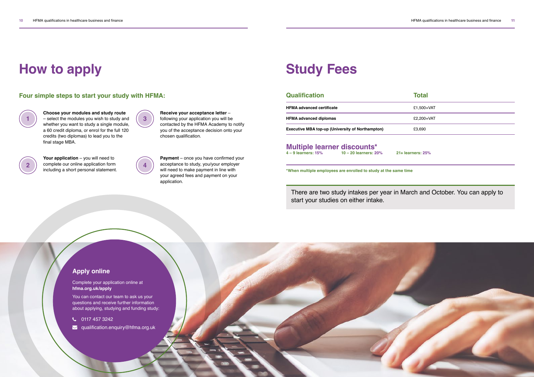**2**





# **How to apply**

**1**

**Choose your modules and study route** – select the modules you wish to study and whether you want to study a single module, a 60 credit diploma, or enrol for the full 120 credits (two diplomas) to lead you to the final stage MBA.

**Your application** – you will need to complete our online application form including a short personal statement. **Receive your acceptance letter** – following your application you will be contacted by the HFMA Academy to notify you of the acceptance decision onto your chosen qualification.

**HFMA advanced certificate 1.500+VAT 1.500+VAT HFMA advanced diplomas E2,200+VAT Executive MBA top-up (University of Northampton)**  $£3,690$ **Multiple learner discounts\***<br>4-9 learners: 15%<br>10-20 learners: 20 **4 – 9 learners: 15% 10 – 20 learners: 20% 21+ learners: 25%**

**Payment** – once you have confirmed your acceptance to study, you/your employer will need to make payment in line with your agreed fees and payment on your application.

# **Study Fees**

### **Qualification Total**

**\*When multiple employees are enrolled to study at the same time** 

## **Apply online**

Complete your application online at **[hfma.org.uk/apply](http://hfma.org.uk/apply)**

You can contact our team to ask us your questions and receive further information about applying, studying and funding study:

C 0117 457 3242

**v** [qualification.enquiry@hfma.org.uk](mailto:qualification.enquiry%40hfma.org.uk?subject=)



There are two study intakes per year in March and October. You can apply to start your studies on either intake.

## **Four simple steps to start your study with HFMA:**